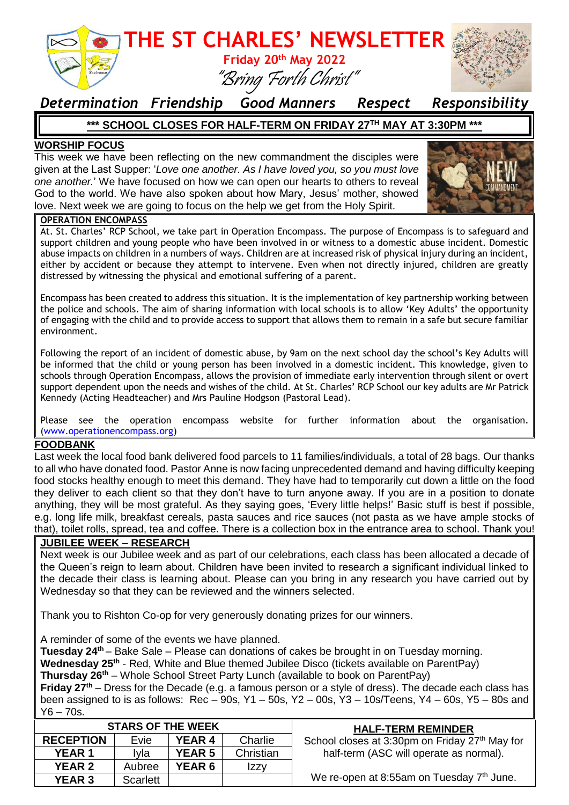

### *Determination Friendship Good Manners Respect Responsibility*

#### **\*\*\* SCHOOL CLOSES FOR HALF-TERM ON FRIDAY 27TH MAY AT 3:30PM \*\*\***

#### **WORSHIP FOCUS**

This week we have been reflecting on the new commandment the disciples were given at the Last Supper: '*Love one another. As I have loved you, so you must love one another.*' We have focused on how we can open our hearts to others to reveal God to the world. We have also spoken about how Mary, Jesus' mother, showed love. Next week we are going to focus on the help we get from the Holy Spirit.



#### **OPERATION ENCOMPASS**

At. St. Charles' RCP School, we take part in Operation Encompass. The purpose of Encompass is to safeguard and support children and young people who have been involved in or witness to a domestic abuse incident. Domestic abuse impacts on children in a numbers of ways. Children are at increased risk of physical injury during an incident, either by accident or because they attempt to intervene. Even when not directly injured, children are greatly distressed by witnessing the physical and emotional suffering of a parent.

Encompass has been created to address this situation. It is the implementation of key partnership working between the police and schools. The aim of sharing information with local schools is to allow 'Key Adults' the opportunity of engaging with the child and to provide access to support that allows them to remain in a safe but secure familiar environment.

Following the report of an incident of domestic abuse, by 9am on the next school day the school's Key Adults will be informed that the child or young person has been involved in a domestic incident. This knowledge, given to schools through Operation Encompass, allows the provision of immediate early intervention through silent or overt support dependent upon the needs and wishes of the child. At St. Charles' RCP School our key adults are Mr Patrick Kennedy (Acting Headteacher) and Mrs Pauline Hodgson (Pastoral Lead).

Please see the operation encompass website for further information about the organisation. [\(www.operationencompass.org\)](http://www.operationencompass.org/)

#### **FOODBANK**

Last week the local food bank delivered food parcels to 11 families/individuals, a total of 28 bags. Our thanks to all who have donated food. Pastor Anne is now facing unprecedented demand and having difficulty keeping food stocks healthy enough to meet this demand. They have had to temporarily cut down a little on the food they deliver to each client so that they don't have to turn anyone away. If you are in a position to donate anything, they will be most grateful. As they saying goes, 'Every little helps!' Basic stuff is best if possible, e.g. long life milk, breakfast cereals, pasta sauces and rice sauces (not pasta as we have ample stocks of that), toilet rolls, spread, tea and coffee. There is a collection box in the entrance area to school. Thank you!

#### **JUBILEE WEEK – RESEARCH**

Next week is our Jubilee week and as part of our celebrations, each class has been allocated a decade of the Queen's reign to learn about. Children have been invited to research a significant individual linked to the decade their class is learning about. Please can you bring in any research you have carried out by Wednesday so that they can be reviewed and the winners selected.

Thank you to Rishton Co-op for very generously donating prizes for our winners.

A reminder of some of the events we have planned.

**Tuesday 24th** – Bake Sale – Please can donations of cakes be brought in on Tuesday morning. **Wednesday 25th** - Red, White and Blue themed Jubilee Disco (tickets available on ParentPay)

**Thursday 26th** – Whole School Street Party Lunch (available to book on ParentPay)

**Friday 27th** – Dress for the Decade (e.g. a famous person or a style of dress). The decade each class has been assigned to is as follows: Rec – 90s, Y1 – 50s, Y2 – 00s, Y3 – 10s/Teens, Y4 – 60s, Y5 – 80s and  $Y6 - 70s$ .

| <b>STARS OF THE WEEK</b> |          |               |           | <b>HALF-TERM REMINDER</b>                             |
|--------------------------|----------|---------------|-----------|-------------------------------------------------------|
| <b>RECEPTION</b>         | Evie     | <b>YEAR 4</b> | Charlie   | School closes at 3:30pm on Friday 27th May for        |
| <b>YEAR 1</b>            | Ivla     | <b>YEAR 5</b> | Christian | half-term (ASC will operate as normal).               |
| <b>YEAR 2</b>            | Aubree   | <b>YEAR 6</b> | Izzy      |                                                       |
| <b>YEAR 3</b>            | Scarlett |               |           | We re-open at 8:55am on Tuesday 7 <sup>th</sup> June. |